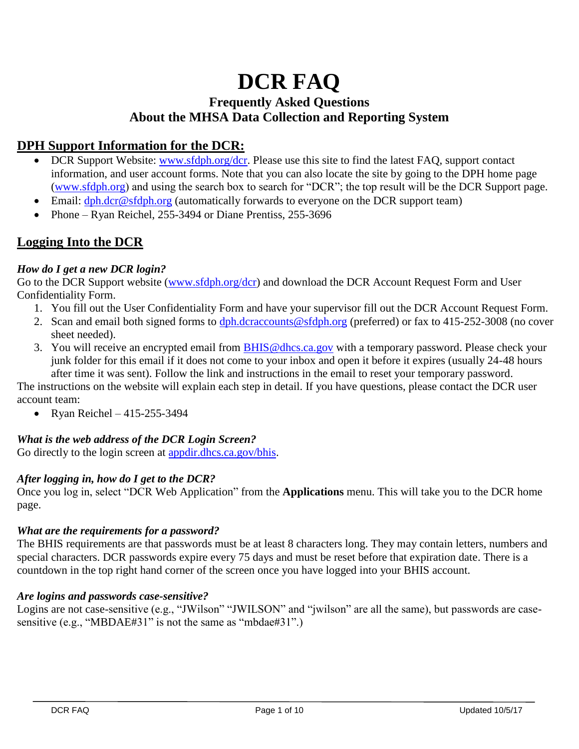# **DCR FAQ**

# **Frequently Asked Questions About the MHSA Data Collection and Reporting System**

# **DPH Support Information for the DCR:**

- DCR Support Website: [www.sfdph.org/dcr.](http://www.sfdph.org/dcr) Please use this site to find the latest FAQ, support contact information, and user account forms. Note that you can also locate the site by going to the DPH home page [\(www.sfdph.org\)](http://www.sfdph.org/) and using the search box to search for "DCR"; the top result will be the DCR Support page.
- Email: [dph.dcr@sfdph.org](mailto:dph.dcr@sfdph.org) (automatically forwards to everyone on the DCR support team)
- Phone Ryan Reichel, 255-3494 or Diane Prentiss, 255-3696

# **Logging Into the DCR**

## *How do I get a new DCR login?*

Go to the DCR Support website [\(www.sfdph.org/dcr\)](http://www.sfdph.org/dcr) and download the DCR Account Request Form and User Confidentiality Form.

- 1. You fill out the User Confidentiality Form and have your supervisor fill out the DCR Account Request Form.
- 2. Scan and email both signed forms to [dph.dcraccounts@sfdph.org](mailto:dph.dcraccounts@sfdph.org) (preferred) or fax to 415-252-3008 (no cover sheet needed).
- 3. You will receive an encrypted email from **BHIS@dhcs.ca.gov** with a temporary password. Please check your junk folder for this email if it does not come to your inbox and open it before it expires (usually 24-48 hours after time it was sent). Follow the link and instructions in the email to reset your temporary password.

The instructions on the website will explain each step in detail. If you have questions, please contact the DCR user account team:

• Ryan Reichel – 415-255-3494

## *What is the web address of the DCR Login Screen?*

Go directly to the login screen at [appdir.dhcs.ca.gov/bhis.](http://appdir.dhcs.ca.gov/bhis)

## *After logging in, how do I get to the DCR?*

Once you log in, select "DCR Web Application" from the **Applications** menu. This will take you to the DCR home page.

#### *What are the requirements for a password?*

The BHIS requirements are that passwords must be at least 8 characters long. They may contain letters, numbers and special characters. DCR passwords expire every 75 days and must be reset before that expiration date. There is a countdown in the top right hand corner of the screen once you have logged into your BHIS account.

#### *Are logins and passwords case-sensitive?*

Logins are not case-sensitive (e.g., "JWilson" "JWILSON" and "jwilson" are all the same), but passwords are casesensitive (e.g., "MBDAE#31" is not the same as "mbdae#31".)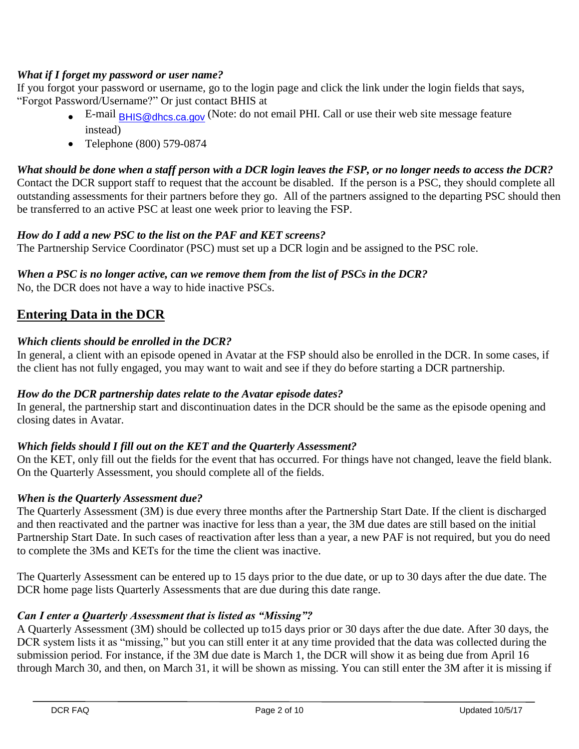## *What if I forget my password or user name?*

If you forgot your password or username, go to the login page and click the link under the login fields that says, "Forgot Password/Username?" Or just contact BHIS at

- $\bullet$  E-mail [BHIS@dhcs.ca.gov](mailto:BHIS@dhcs.ca.gov) (Note: do not email PHI. Call or use their web site message feature instead)
- Telephone (800) 579-0874

*What should be done when a staff person with a DCR login leaves the FSP, or no longer needs to access the DCR?* Contact the DCR support staff to request that the account be disabled. If the person is a PSC, they should complete all outstanding assessments for their partners before they go. All of the partners assigned to the departing PSC should then be transferred to an active PSC at least one week prior to leaving the FSP.

## *How do I add a new PSC to the list on the PAF and KET screens?*

The Partnership Service Coordinator (PSC) must set up a DCR login and be assigned to the PSC role.

## *When a PSC is no longer active, can we remove them from the list of PSCs in the DCR?*

No, the DCR does not have a way to hide inactive PSCs.

# **Entering Data in the DCR**

## *Which clients should be enrolled in the DCR?*

In general, a client with an episode opened in Avatar at the FSP should also be enrolled in the DCR. In some cases, if the client has not fully engaged, you may want to wait and see if they do before starting a DCR partnership.

## *How do the DCR partnership dates relate to the Avatar episode dates?*

In general, the partnership start and discontinuation dates in the DCR should be the same as the episode opening and closing dates in Avatar.

## *Which fields should I fill out on the KET and the Quarterly Assessment?*

On the KET, only fill out the fields for the event that has occurred. For things have not changed, leave the field blank. On the Quarterly Assessment, you should complete all of the fields.

## *When is the Quarterly Assessment due?*

The Quarterly Assessment (3M) is due every three months after the Partnership Start Date. If the client is discharged and then reactivated and the partner was inactive for less than a year, the 3M due dates are still based on the initial Partnership Start Date. In such cases of reactivation after less than a year, a new PAF is not required, but you do need to complete the 3Ms and KETs for the time the client was inactive.

The Quarterly Assessment can be entered up to 15 days prior to the due date, or up to 30 days after the due date. The DCR home page lists Quarterly Assessments that are due during this date range.

## *Can I enter a Quarterly Assessment that is listed as "Missing"?*

A Quarterly Assessment (3M) should be collected up to15 days prior or 30 days after the due date. After 30 days, the DCR system lists it as "missing," but you can still enter it at any time provided that the data was collected during the submission period. For instance, if the 3M due date is March 1, the DCR will show it as being due from April 16 through March 30, and then, on March 31, it will be shown as missing. You can still enter the 3M after it is missing if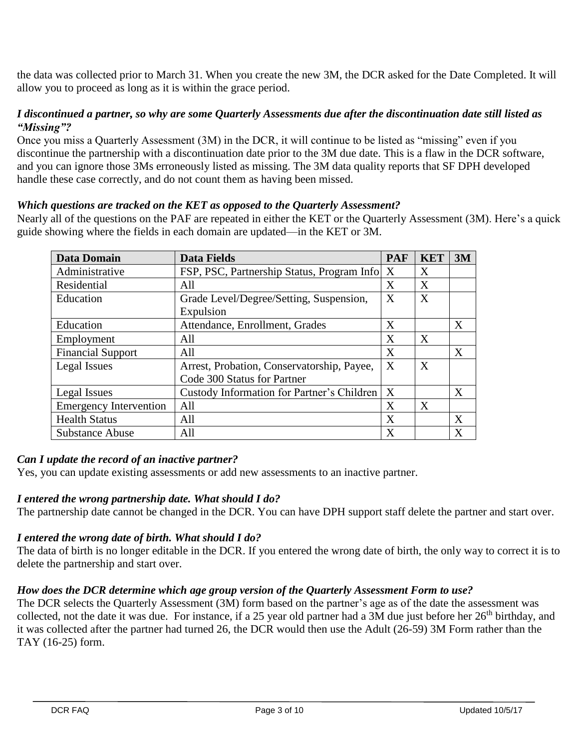the data was collected prior to March 31. When you create the new 3M, the DCR asked for the Date Completed. It will allow you to proceed as long as it is within the grace period.

#### *I discontinued a partner, so why are some Quarterly Assessments due after the discontinuation date still listed as "Missing"?*

Once you miss a Quarterly Assessment (3M) in the DCR, it will continue to be listed as "missing" even if you discontinue the partnership with a discontinuation date prior to the 3M due date. This is a flaw in the DCR software, and you can ignore those 3Ms erroneously listed as missing. The 3M data quality reports that SF DPH developed handle these case correctly, and do not count them as having been missed.

## *Which questions are tracked on the KET as opposed to the Quarterly Assessment?*

Nearly all of the questions on the PAF are repeated in either the KET or the Quarterly Assessment (3M). Here's a quick guide showing where the fields in each domain are updated—in the KET or 3M.

| <b>Data Domain</b>            | <b>Data Fields</b>                         | <b>PAF</b>       | <b>KET</b> | 3M |
|-------------------------------|--------------------------------------------|------------------|------------|----|
| Administrative                | FSP, PSC, Partnership Status, Program Info | X                | X          |    |
| Residential                   | All                                        | X                | X          |    |
| Education                     | Grade Level/Degree/Setting, Suspension,    | X                | X          |    |
|                               | Expulsion                                  |                  |            |    |
| Education                     | Attendance, Enrollment, Grades             | X                |            | X  |
| Employment                    | All                                        | X                | X          |    |
| <b>Financial Support</b>      | All                                        | X                |            | X  |
| Legal Issues                  | Arrest, Probation, Conservatorship, Payee, | X                | X          |    |
|                               | Code 300 Status for Partner                |                  |            |    |
| Legal Issues                  | Custody Information for Partner's Children | $\boldsymbol{X}$ |            | X  |
| <b>Emergency Intervention</b> | All                                        | X                | X          |    |
| <b>Health Status</b>          | All                                        | X                |            | X  |
| <b>Substance Abuse</b>        | All                                        | X                |            | X  |

#### *Can I update the record of an inactive partner?*

Yes, you can update existing assessments or add new assessments to an inactive partner.

#### *I entered the wrong partnership date. What should I do?*

The partnership date cannot be changed in the DCR. You can have DPH support staff delete the partner and start over.

## *I entered the wrong date of birth. What should I do?*

The data of birth is no longer editable in the DCR. If you entered the wrong date of birth, the only way to correct it is to delete the partnership and start over.

## *How does the DCR determine which age group version of the Quarterly Assessment Form to use?*

The DCR selects the Quarterly Assessment (3M) form based on the partner's age as of the date the assessment was collected, not the date it was due. For instance, if a 25 year old partner had a 3M due just before her  $26<sup>th</sup>$  birthday, and it was collected after the partner had turned 26, the DCR would then use the Adult (26-59) 3M Form rather than the TAY (16-25) form.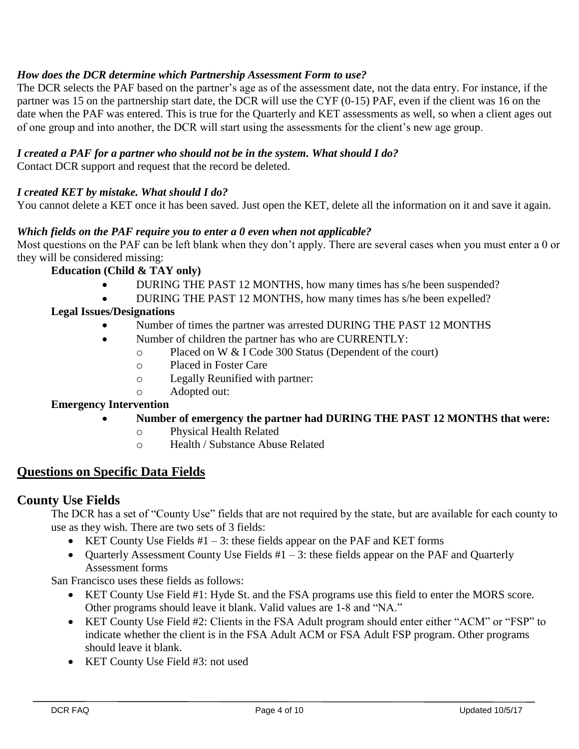## *How does the DCR determine which Partnership Assessment Form to use?*

The DCR selects the PAF based on the partner's age as of the assessment date, not the data entry. For instance, if the partner was 15 on the partnership start date, the DCR will use the CYF (0-15) PAF, even if the client was 16 on the date when the PAF was entered. This is true for the Quarterly and KET assessments as well, so when a client ages out of one group and into another, the DCR will start using the assessments for the client's new age group.

## *I created a PAF for a partner who should not be in the system. What should I do?*

Contact DCR support and request that the record be deleted.

#### *I created KET by mistake. What should I do?*

You cannot delete a KET once it has been saved. Just open the KET, delete all the information on it and save it again.

#### *Which fields on the PAF require you to enter a 0 even when not applicable?*

Most questions on the PAF can be left blank when they don't apply. There are several cases when you must enter a 0 or they will be considered missing:

#### **Education (Child & TAY only)**

- DURING THE PAST 12 MONTHS, how many times has s/he been suspended?
	- DURING THE PAST 12 MONTHS, how many times has s/he been expelled?

#### **Legal Issues/Designations**

- Number of times the partner was arrested DURING THE PAST 12 MONTHS
	- Number of children the partner has who are CURRENTLY:
		- o Placed on W & I Code 300 Status (Dependent of the court)
		- o Placed in Foster Care
		- o Legally Reunified with partner:
		- o Adopted out:

#### **Emergency Intervention**

- **Number of emergency the partner had DURING THE PAST 12 MONTHS that were:**
	- o Physical Health Related
	- o Health / Substance Abuse Related

## **Questions on Specific Data Fields**

#### **County Use Fields**

The DCR has a set of "County Use" fields that are not required by the state, but are available for each county to use as they wish. There are two sets of 3 fields:

- KET County Use Fields  $#1 3$ : these fields appear on the PAF and KET forms
- Quarterly Assessment County Use Fields  $#1 3$ : these fields appear on the PAF and Quarterly Assessment forms

San Francisco uses these fields as follows:

- KET County Use Field #1: Hyde St. and the FSA programs use this field to enter the MORS score. Other programs should leave it blank. Valid values are 1-8 and "NA."
- KET County Use Field #2: Clients in the FSA Adult program should enter either "ACM" or "FSP" to indicate whether the client is in the FSA Adult ACM or FSA Adult FSP program. Other programs should leave it blank.
- KET County Use Field #3: not used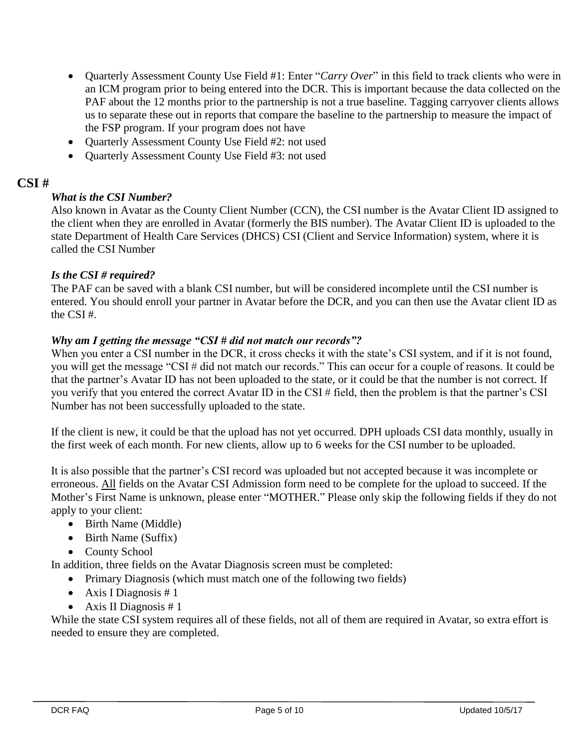- Quarterly Assessment County Use Field #1: Enter "*Carry Over*" in this field to track clients who were in an ICM program prior to being entered into the DCR. This is important because the data collected on the PAF about the 12 months prior to the partnership is not a true baseline. Tagging carryover clients allows us to separate these out in reports that compare the baseline to the partnership to measure the impact of the FSP program. If your program does not have
- Ouarterly Assessment County Use Field #2: not used
- Quarterly Assessment County Use Field #3: not used

## **CSI #**

## *What is the CSI Number?*

Also known in Avatar as the County Client Number (CCN), the CSI number is the Avatar Client ID assigned to the client when they are enrolled in Avatar (formerly the BIS number). The Avatar Client ID is uploaded to the state Department of Health Care Services (DHCS) CSI (Client and Service Information) system, where it is called the CSI Number

## *Is the CSI # required?*

The PAF can be saved with a blank CSI number, but will be considered incomplete until the CSI number is entered. You should enroll your partner in Avatar before the DCR, and you can then use the Avatar client ID as the CSI #.

#### *Why am I getting the message "CSI # did not match our records"?*

When you enter a CSI number in the DCR, it cross checks it with the state's CSI system, and if it is not found, you will get the message "CSI # did not match our records." This can occur for a couple of reasons. It could be that the partner's Avatar ID has not been uploaded to the state, or it could be that the number is not correct. If you verify that you entered the correct Avatar ID in the CSI # field, then the problem is that the partner's CSI Number has not been successfully uploaded to the state.

If the client is new, it could be that the upload has not yet occurred. DPH uploads CSI data monthly, usually in the first week of each month. For new clients, allow up to 6 weeks for the CSI number to be uploaded.

It is also possible that the partner's CSI record was uploaded but not accepted because it was incomplete or erroneous. All fields on the Avatar CSI Admission form need to be complete for the upload to succeed. If the Mother's First Name is unknown, please enter "MOTHER." Please only skip the following fields if they do not apply to your client:

- Birth Name (Middle)
- Birth Name (Suffix)
- County School

In addition, three fields on the Avatar Diagnosis screen must be completed:

- Primary Diagnosis (which must match one of the following two fields)
- Axis I Diagnosis  $# 1$
- Axis II Diagnosis  $# 1$

While the state CSI system requires all of these fields, not all of them are required in Avatar, so extra effort is needed to ensure they are completed.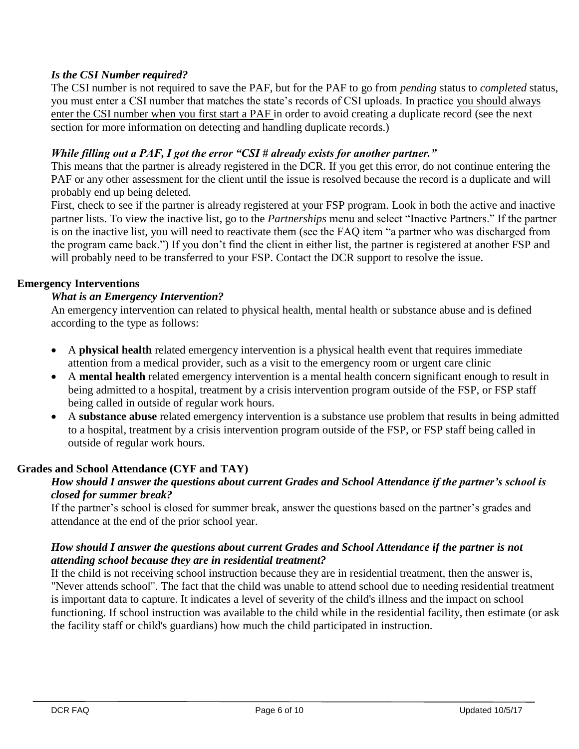## *Is the CSI Number required?*

The CSI number is not required to save the PAF, but for the PAF to go from *pending* status to *completed* status, you must enter a CSI number that matches the state's records of CSI uploads. In practice you should always enter the CSI number when you first start a PAF in order to avoid creating a duplicate record (see the next section for more information on detecting and handling duplicate records.)

## *While filling out a PAF, I got the error "CSI # already exists for another partner."*

This means that the partner is already registered in the DCR. If you get this error, do not continue entering the PAF or any other assessment for the client until the issue is resolved because the record is a duplicate and will probably end up being deleted.

First, check to see if the partner is already registered at your FSP program. Look in both the active and inactive partner lists. To view the inactive list, go to the *Partnerships* menu and select "Inactive Partners." If the partner is on the inactive list, you will need to reactivate them (see the FAQ item "a partner who was discharged from the program came back.") If you don't find the client in either list, the partner is registered at another FSP and will probably need to be transferred to your FSP. Contact the DCR support to resolve the issue.

#### **Emergency Interventions**

#### *What is an Emergency Intervention?*

An emergency intervention can related to physical health, mental health or substance abuse and is defined according to the type as follows:

- A **physical health** related emergency intervention is a physical health event that requires immediate attention from a medical provider, such as a visit to the emergency room or urgent care clinic
- A **mental health** related emergency intervention is a mental health concern significant enough to result in being admitted to a hospital, treatment by a crisis intervention program outside of the FSP, or FSP staff being called in outside of regular work hours.
- A **substance abuse** related emergency intervention is a substance use problem that results in being admitted to a hospital, treatment by a crisis intervention program outside of the FSP, or FSP staff being called in outside of regular work hours.

## **Grades and School Attendance (CYF and TAY)**

#### *How should I answer the questions about current Grades and School Attendance if the partner's school is closed for summer break?*

If the partner's school is closed for summer break, answer the questions based on the partner's grades and attendance at the end of the prior school year.

#### *How should I answer the questions about current Grades and School Attendance if the partner is not attending school because they are in residential treatment?*

If the child is not receiving school instruction because they are in residential treatment, then the answer is, "Never attends school". The fact that the child was unable to attend school due to needing residential treatment is important data to capture. It indicates a level of severity of the child's illness and the impact on school functioning. If school instruction was available to the child while in the residential facility, then estimate (or ask the facility staff or child's guardians) how much the child participated in instruction.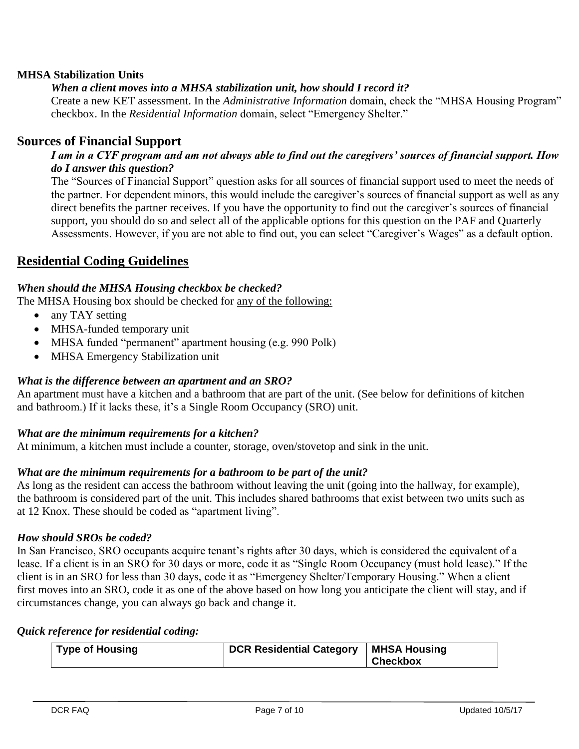#### **MHSA Stabilization Units**

## *When a client moves into a MHSA stabilization unit, how should I record it?*

Create a new KET assessment. In the *Administrative Information* domain, check the "MHSA Housing Program" checkbox. In the *Residential Information* domain, select "Emergency Shelter."

## **Sources of Financial Support**

#### *I am in a CYF program and am not always able to find out the caregivers' sources of financial support. How do I answer this question?*

The "Sources of Financial Support" question asks for all sources of financial support used to meet the needs of the partner. For dependent minors, this would include the caregiver's sources of financial support as well as any direct benefits the partner receives. If you have the opportunity to find out the caregiver's sources of financial support, you should do so and select all of the applicable options for this question on the PAF and Quarterly Assessments. However, if you are not able to find out, you can select "Caregiver's Wages" as a default option.

## **Residential Coding Guidelines**

#### *When should the MHSA Housing checkbox be checked?*

The MHSA Housing box should be checked for any of the following:

- any TAY setting
- MHSA-funded temporary unit
- MHSA funded "permanent" apartment housing (e.g. 990 Polk)
- MHSA Emergency Stabilization unit

#### *What is the difference between an apartment and an SRO?*

An apartment must have a kitchen and a bathroom that are part of the unit. (See below for definitions of kitchen and bathroom.) If it lacks these, it's a Single Room Occupancy (SRO) unit.

#### *What are the minimum requirements for a kitchen?*

At minimum, a kitchen must include a counter, storage, oven/stovetop and sink in the unit.

#### *What are the minimum requirements for a bathroom to be part of the unit?*

As long as the resident can access the bathroom without leaving the unit (going into the hallway, for example), the bathroom is considered part of the unit. This includes shared bathrooms that exist between two units such as at 12 Knox. These should be coded as "apartment living".

#### *How should SROs be coded?*

In San Francisco, SRO occupants acquire tenant's rights after 30 days, which is considered the equivalent of a lease. If a client is in an SRO for 30 days or more, code it as "Single Room Occupancy (must hold lease)." If the client is in an SRO for less than 30 days, code it as "Emergency Shelter/Temporary Housing." When a client first moves into an SRO, code it as one of the above based on how long you anticipate the client will stay, and if circumstances change, you can always go back and change it.

#### *Quick reference for residential coding:*

| <b>Type of Housing</b> | <b>DCR Residential Category</b> | MHSA Housing    |
|------------------------|---------------------------------|-----------------|
|                        |                                 | <b>Checkbox</b> |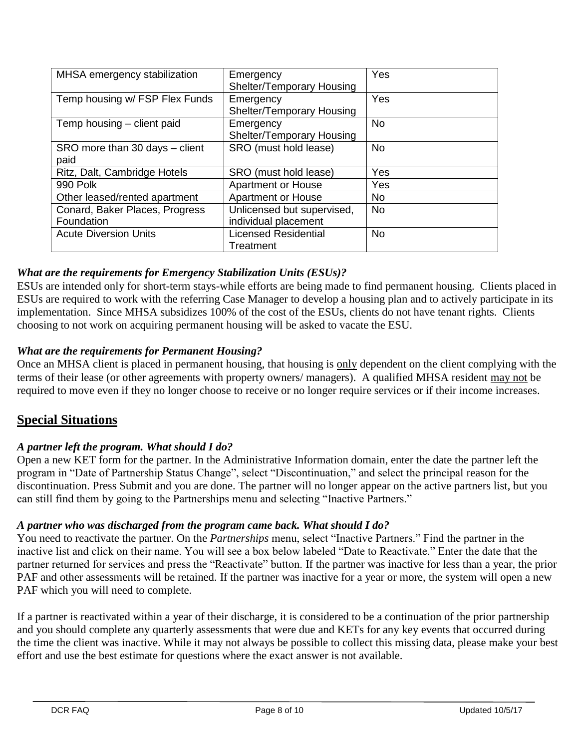| MHSA emergency stabilization           | Emergency<br>Shelter/Temporary Housing   | Yes       |
|----------------------------------------|------------------------------------------|-----------|
| Temp housing w/ FSP Flex Funds         | Emergency<br>Shelter/Temporary Housing   | Yes       |
| Temp housing - client paid             | Emergency<br>Shelter/Temporary Housing   | <b>No</b> |
| SRO more than 30 days - client<br>paid | SRO (must hold lease)                    | <b>No</b> |
| Ritz, Dalt, Cambridge Hotels           | SRO (must hold lease)                    | Yes       |
| 990 Polk                               | <b>Apartment or House</b>                | Yes       |
| Other leased/rented apartment          | <b>Apartment or House</b>                | <b>No</b> |
| Conard, Baker Places, Progress         | Unlicensed but supervised,               | <b>No</b> |
| Foundation                             | individual placement                     |           |
| <b>Acute Diversion Units</b>           | <b>Licensed Residential</b><br>Treatment | <b>No</b> |

## *What are the requirements for Emergency Stabilization Units (ESUs)?*

ESUs are intended only for short-term stays-while efforts are being made to find permanent housing. Clients placed in ESUs are required to work with the referring Case Manager to develop a housing plan and to actively participate in its implementation. Since MHSA subsidizes 100% of the cost of the ESUs, clients do not have tenant rights. Clients choosing to not work on acquiring permanent housing will be asked to vacate the ESU.

## *What are the requirements for Permanent Housing?*

Once an MHSA client is placed in permanent housing, that housing is only dependent on the client complying with the terms of their lease (or other agreements with property owners/ managers). A qualified MHSA resident may not be required to move even if they no longer choose to receive or no longer require services or if their income increases.

## **Special Situations**

## *A partner left the program. What should I do?*

Open a new KET form for the partner. In the Administrative Information domain, enter the date the partner left the program in "Date of Partnership Status Change", select "Discontinuation," and select the principal reason for the discontinuation. Press Submit and you are done. The partner will no longer appear on the active partners list, but you can still find them by going to the Partnerships menu and selecting "Inactive Partners."

## *A partner who was discharged from the program came back. What should I do?*

You need to reactivate the partner. On the *Partnerships* menu, select "Inactive Partners." Find the partner in the inactive list and click on their name. You will see a box below labeled "Date to Reactivate." Enter the date that the partner returned for services and press the "Reactivate" button. If the partner was inactive for less than a year, the prior PAF and other assessments will be retained. If the partner was inactive for a year or more, the system will open a new PAF which you will need to complete.

If a partner is reactivated within a year of their discharge, it is considered to be a continuation of the prior partnership and you should complete any quarterly assessments that were due and KETs for any key events that occurred during the time the client was inactive. While it may not always be possible to collect this missing data, please make your best effort and use the best estimate for questions where the exact answer is not available.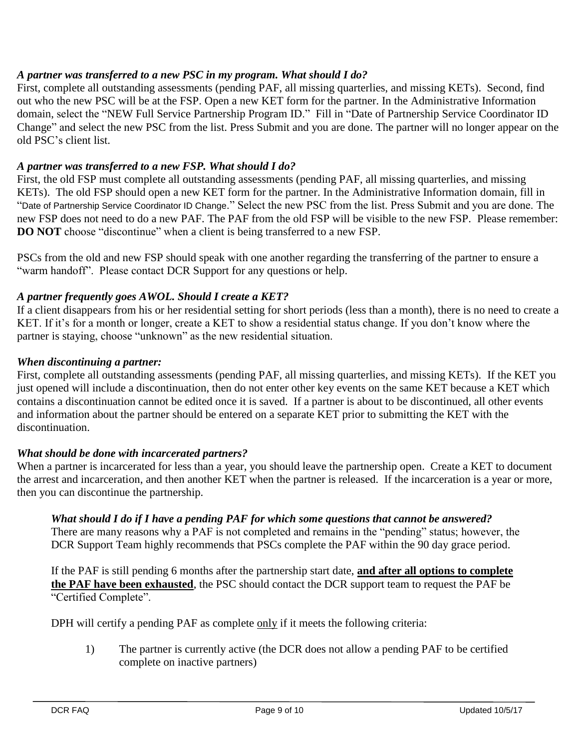## *A partner was transferred to a new PSC in my program. What should I do?*

First, complete all outstanding assessments (pending PAF, all missing quarterlies, and missing KETs). Second, find out who the new PSC will be at the FSP. Open a new KET form for the partner. In the Administrative Information domain, select the "NEW Full Service Partnership Program ID." Fill in "Date of Partnership Service Coordinator ID Change" and select the new PSC from the list. Press Submit and you are done. The partner will no longer appear on the old PSC's client list.

#### *A partner was transferred to a new FSP. What should I do?*

First, the old FSP must complete all outstanding assessments (pending PAF, all missing quarterlies, and missing KETs). The old FSP should open a new KET form for the partner. In the Administrative Information domain, fill in "Date of Partnership Service Coordinator ID Change." Select the new PSC from the list. Press Submit and you are done. The new FSP does not need to do a new PAF. The PAF from the old FSP will be visible to the new FSP. Please remember: **DO NOT** choose "discontinue" when a client is being transferred to a new FSP.

PSCs from the old and new FSP should speak with one another regarding the transferring of the partner to ensure a "warm handoff". Please contact DCR Support for any questions or help.

## *A partner frequently goes AWOL. Should I create a KET?*

If a client disappears from his or her residential setting for short periods (less than a month), there is no need to create a KET. If it's for a month or longer, create a KET to show a residential status change. If you don't know where the partner is staying, choose "unknown" as the new residential situation.

#### *When discontinuing a partner:*

First, complete all outstanding assessments (pending PAF, all missing quarterlies, and missing KETs). If the KET you just opened will include a discontinuation, then do not enter other key events on the same KET because a KET which contains a discontinuation cannot be edited once it is saved. If a partner is about to be discontinued, all other events and information about the partner should be entered on a separate KET prior to submitting the KET with the discontinuation.

#### *What should be done with incarcerated partners?*

When a partner is incarcerated for less than a year, you should leave the partnership open. Create a KET to document the arrest and incarceration, and then another KET when the partner is released. If the incarceration is a year or more, then you can discontinue the partnership.

#### *What should I do if I have a pending PAF for which some questions that cannot be answered?*

There are many reasons why a PAF is not completed and remains in the "pending" status; however, the DCR Support Team highly recommends that PSCs complete the PAF within the 90 day grace period.

If the PAF is still pending 6 months after the partnership start date, **and after all options to complete the PAF have been exhausted**, the PSC should contact the DCR support team to request the PAF be "Certified Complete".

DPH will certify a pending PAF as complete only if it meets the following criteria:

1) The partner is currently active (the DCR does not allow a pending PAF to be certified complete on inactive partners)